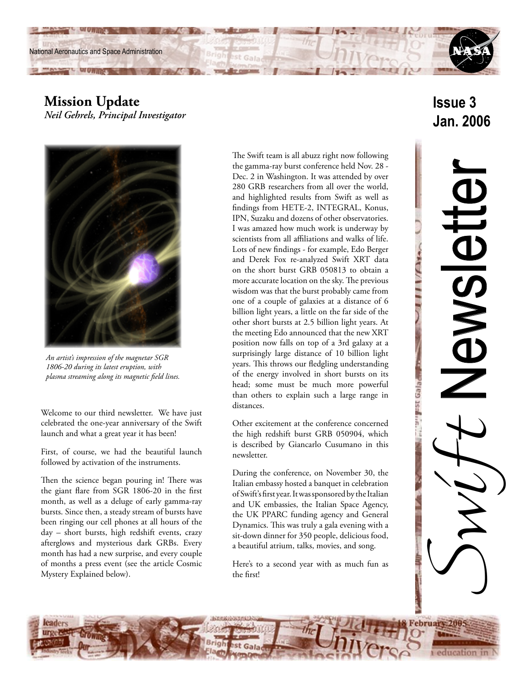

**CONTRACTOR CONTRACTOR** 



*Neil Gehrels, Principal Investigator*



*An artist's impression of the magnetar SGR 1806-20 during its latest eruption, with plasma streaming along its magnetic field lines.*

Welcome to our third newsletter. We have just celebrated the one-year anniversary of the Swift launch and what a great year it has been!

First, of course, we had the beautiful launch followed by activation of the instruments.

Then the science began pouring in! There was the giant flare from SGR 1806-20 in the first month, as well as a deluge of early gamma-ray bursts. Since then, a steady stream of bursts have been ringing our cell phones at all hours of the day – short bursts, high redshift events, crazy afterglows and mysterious dark GRBs. Every month has had a new surprise, and every couple of months a press event (see the article Cosmic Mystery Explained below).

The Swift team is all abuzz right now following the gamma-ray burst conference held Nov. 28 - Dec. 2 in Washington. It was attended by over 280 GRB researchers from all over the world, and highlighted results from Swift as well as findings from HETE-2, INTEGRAL, Konus, IPN, Suzaku and dozens of other observatories. I was amazed how much work is underway by scientists from all affiliations and walks of life. Lots of new findings - for example, Edo Berger and Derek Fox re-analyzed Swift XRT data on the short burst GRB 050813 to obtain a more accurate location on the sky. The previous wisdom was that the burst probably came from one of a couple of galaxies at a distance of 6 billion light years, a little on the far side of the other short bursts at 2.5 billion light years. At the meeting Edo announced that the new XRT position now falls on top of a 3rd galaxy at a surprisingly large distance of 10 billion light years. This throws our fledgling understanding of the energy involved in short bursts on its head; some must be much more powerful than others to explain such a large range in distances.

Other excitement at the conference concerned the high redshift burst GRB 050904, which is described by Giancarlo Cusumano in this newsletter.

During the conference, on November 30, the Italian embassy hosted a banquet in celebration of Swift's first year. It was sponsored by the Italian and UK embassies, the Italian Space Agency, the UK PPARC funding agency and General Dynamics. This was truly a gala evening with a sit-down dinner for 350 people, delicious food, a beautiful atrium, talks, movies, and song.

Here's to a second year with as much fun as the first!

# **Issue 3 Jan. 2006**

Switt Newsletter Newsiet

UIIII/Atas

T "Peleo ash inc.

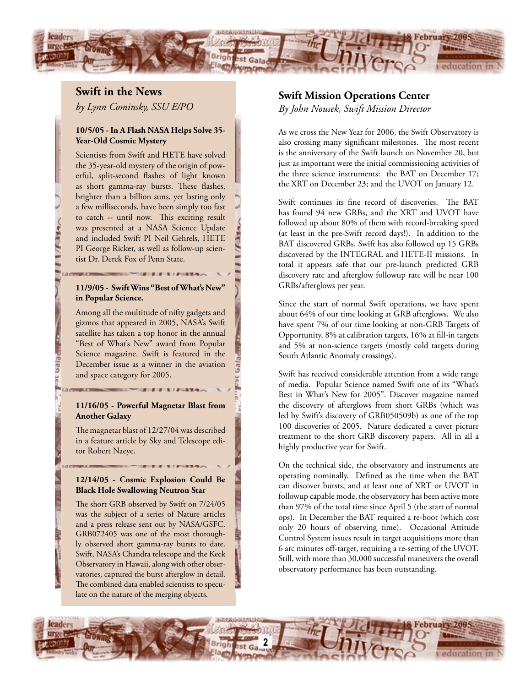

## **Swift in the News**

*by Lynn Cominsky, SSU E/PO*

#### **10/5/05 - In A Flash NASA Helps Solve 35- Year-Old Cosmic Mystery**

Scientists from Swift and HETE have solved the 35-year-old mystery of the origin of powerful, split-second flashes of light known as short gamma-ray bursts. These flashes, brighter than a billion suns, yet lasting only a few milliseconds, have been simply too fast to catch -- until now. This exciting result was presented at a NASA Science Update and included Swift PI Neil Gehrels, HETE PI George Ricker, as well as follow-up scientist Dr. Derek Fox of Penn State.

#### **11/9/05 - Swift Wins "Best of What's New" in Popular Science.**

Among all the multitude of nifty gadgets and gizmos that appeared in 2005, NASA's Swift satellite has taken a top honor in the annual "Best of What's New" award from Popular Science magazine. Swift is featured in the December issue as a winner in the aviation and space category for 2005.

**Calacter** 

#### **11/16/05 - Powerful Magnetar Blast from Another Galaxy**

The magnetar blast of 12/27/04 was described in a feature article by Sky and Telescope editor Robert Naeye.

#### **12/14/05 - Cosmic Explosion Could Be Black Hole Swallowing Neutron Star**

The short GRB observed by Swift on 7/24/05 was the subject of a series of Nature articles and a press release sent out by NASA/GSFC. GRB072405 was one of the most thoroughly observed short gamma-ray bursts to date. Swift, NASA's Chandra telescope and the Keck Observatory in Hawaii, along with other observatories, captured the burst afterglow in detail. The combined data enabled scientists to speculate on the nature of the merging objects.

### **Swift Mission Operations Center**

*By John Nousek, Swift Mission Director*

As we cross the New Year for 2006, the Swift Observatory is also crossing many significant milestones. The most recent is the anniversary of the Swift launch on November 20, but just as important were the initial commissioning activities of the three science instruments: the BAT on December 17; the XRT on December 23; and the UVOT on January 12.

Swift continues its fine record of discoveries. The BAT has found 94 new GRBs, and the XRT and UVOT have followed up about 80% of them with record-breaking speed (at least in the pre-Swift record days!). In addition to the BAT discovered GRBs, Swift has also followed up 15 GRBs discovered by the INTEGRAL and HETE-II missions. In total it appears safe that our pre-launch predicted GRB discovery rate and afterglow followup rate will be near 100 GRBs/afterglows per year.

Since the start of normal Swift operations, we have spent about 64% of our time looking at GRB afterglows. We also have spent 7% of our time looking at non-GRB Targets of Opportunity, 8% at calibration targets, 16% at fill-in targets and 5% at non-science targets (mostly cold targets during South Atlantic Anomaly crossings).

Swift has received considerable attention from a wide range of media. Popular Science named Swift one of its "What's Best in What's New for 2005". Discover magazine named the discovery of afterglows from short GRBs (which was led by Swift's discovery of GRB050509b) as one of the top 100 discoveries of 2005. Nature dedicated a cover picture treatment to the short GRB discovery papers. All in all a highly productive year for Swift.

On the technical side, the observatory and instruments are operating nominally. Defined as the time when the BAT can discover bursts, and at least one of XRT or UVOT in followup capable mode, the observatory has been active more than 97% of the total time since April 5 (the start of normal ops). In December the BAT required a re-boot (which cost only 20 hours of observing time). Occasional Attitude Control System issues result in target acquisitions more than 6 arc minutes off-target, requiring a re-setting of the UVOT. Still, with more than 30,000 successful maneuvers the overall observatory performance has been outstanding.

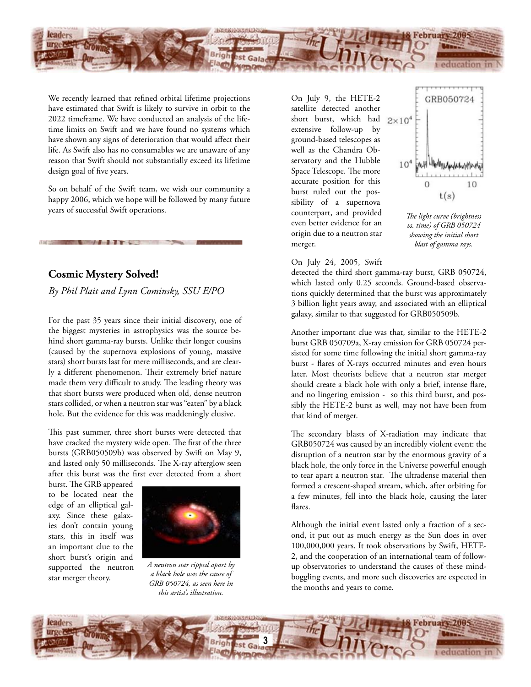

We recently learned that refined orbital lifetime projections have estimated that Swift is likely to survive in orbit to the 2022 timeframe. We have conducted an analysis of the lifetime limits on Swift and we have found no systems which have shown any signs of deterioration that would affect their life. As Swift also has no consumables we are unaware of any reason that Swift should not substantially exceed its lifetime design goal of five years.

So on behalf of the Swift team, we wish our community a happy 2006, which we hope will be followed by many future years of successful Swift operations.

## **Cosmic Mystery Solved!**

*By Phil Plait and Lynn Cominsky, SSU E/PO*

For the past 35 years since their initial discovery, one of the biggest mysteries in astrophysics was the source behind short gamma-ray bursts. Unlike their longer cousins (caused by the supernova explosions of young, massive stars) short bursts last for mere milliseconds, and are clearly a different phenomenon. Their extremely brief nature made them very difficult to study. The leading theory was that short bursts were produced when old, dense neutron stars collided, or when a neutron star was "eaten" by a black hole. But the evidence for this was maddeningly elusive.

This past summer, three short bursts were detected that have cracked the mystery wide open. The first of the three bursts (GRB050509b) was observed by Swift on May 9, and lasted only 50 milliseconds. The X-ray afterglow seen after this burst was the first ever detected from a short

burst. The GRB appeared to be located near the edge of an elliptical galaxy. Since these galaxies don't contain young stars, this in itself was an important clue to the short burst's origin and supported the neutron star merger theory.



*A neutron star ripped apart by a black hole was the cause of GRB 050724, as seen here in this artist's illustration.*

On July 9, the HETE-2 satellite detected another short burst, which had extensive follow-up by ground-based telescopes as well as the Chandra Observatory and the Hubble Space Telescope. The more accurate position for this burst ruled out the possibility of a supernova counterpart, and provided even better evidence for an origin due to a neutron star merger.



*The light curve (brightness vs. time) of GRB 050724 showing the initial short blast of gamma rays.*

#### On July 24, 2005, Swift

detected the third short gamma-ray burst, GRB 050724, which lasted only 0.25 seconds. Ground-based observations quickly determined that the burst was approximately 3 billion light years away, and associated with an elliptical galaxy, similar to that suggested for GRB050509b.

Another important clue was that, similar to the HETE-2 burst GRB 050709a, X-ray emission for GRB 050724 persisted for some time following the initial short gamma-ray burst - flares of X-rays occurred minutes and even hours later. Most theorists believe that a neutron star merger should create a black hole with only a brief, intense flare, and no lingering emission - so this third burst, and possibly the HETE-2 burst as well, may not have been from that kind of merger.

The secondary blasts of X-radiation may indicate that GRB050724 was caused by an incredibly violent event: the disruption of a neutron star by the enormous gravity of a black hole, the only force in the Universe powerful enough to tear apart a neutron star. The ultradense material then formed a crescent-shaped stream, which, after orbiting for a few minutes, fell into the black hole, causing the later flares.

Although the initial event lasted only a fraction of a second, it put out as much energy as the Sun does in over 100,000,000 years. It took observations by Swift, HETE-2, and the cooperation of an international team of followup observatories to understand the causes of these mindboggling events, and more such discoveries are expected in the months and years to come.

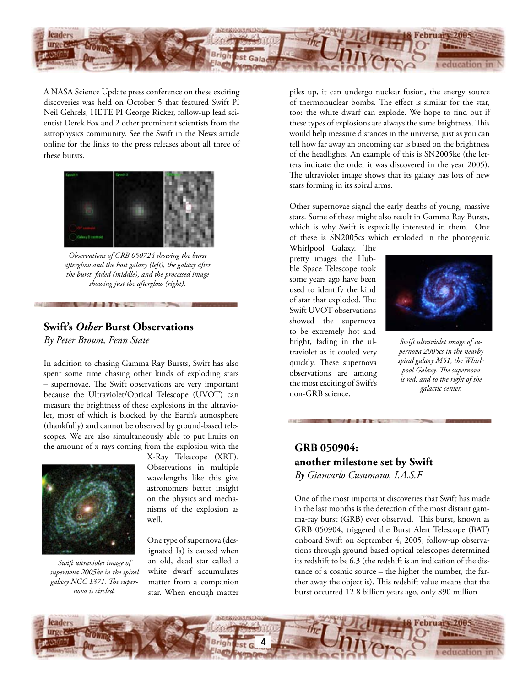

A NASA Science Update press conference on these exciting discoveries was held on October 5 that featured Swift PI Neil Gehrels, HETE PI George Ricker, follow-up lead scientist Derek Fox and 2 other prominent scientists from the astrophysics community. See the Swift in the News article online for the links to the press releases about all three of these bursts.



*Observations of GRB 050724 showing the burst afterglow and the host galaxy (left), the galaxy after the burst faded (middle), and the processed image showing just the afterglow (right).*

### **Swift's** *Other* **Burst Observations**

**The County of the County** 

*By Peter Brown, Penn State*

In addition to chasing Gamma Ray Bursts, Swift has also spent some time chasing other kinds of exploding stars – supernovae. The Swift observations are very important because the Ultraviolet/Optical Telescope (UVOT) can measure the brightness of these explosions in the ultraviolet, most of which is blocked by the Earth's atmosphere (thankfully) and cannot be observed by ground-based telescopes. We are also simultaneously able to put limits on the amount of x-rays coming from the explosion with the



*Swift ultraviolet image of supernova 2005ke in the spiral galaxy NGC 1371. The supernova is circled.*

X-Ray Telescope (XRT). Observations in multiple wavelengths like this give astronomers better insight on the physics and mechanisms of the explosion as well.

One type of supernova (designated Ia) is caused when an old, dead star called a white dwarf accumulates matter from a companion star. When enough matter piles up, it can undergo nuclear fusion, the energy source of thermonuclear bombs. The effect is similar for the star, too: the white dwarf can explode. We hope to find out if these types of explosions are always the same brightness. This would help measure distances in the universe, just as you can tell how far away an oncoming car is based on the brightness of the headlights. An example of this is SN2005ke (the letters indicate the order it was discovered in the year 2005). The ultraviolet image shows that its galaxy has lots of new stars forming in its spiral arms.

Other supernovae signal the early deaths of young, massive stars. Some of these might also result in Gamma Ray Bursts, which is why Swift is especially interested in them. One of these is SN2005cs which exploded in the photogenic

Whirlpool Galaxy. The pretty images the Hubble Space Telescope took some years ago have been used to identify the kind of star that exploded. The Swift UVOT observations showed the supernova to be extremely hot and bright, fading in the ultraviolet as it cooled very quickly. These supernova observations are among the most exciting of Swift's non-GRB science.



*Swift ultraviolet image of supernova 2005cs in the nearby spiral galaxy M51, the Whirlpool Galaxy. The supernova is red, and to the right of the galactic center.*

## **GRB 050904: another milestone set by Swift**  *By Giancarlo Cusumano, I.A.S.F*

*Charles of the State Ave.* 

One of the most important discoveries that Swift has made in the last months is the detection of the most distant gamma-ray burst (GRB) ever observed. This burst, known as GRB 050904, triggered the Burst Alert Telescope (BAT) onboard Swift on September 4, 2005; follow-up observations through ground-based optical telescopes determined its redshift to be 6.3 (the redshift is an indication of the distance of a cosmic source – the higher the number, the farther away the object is). This redshift value means that the burst occurred 12.8 billion years ago, only 890 million

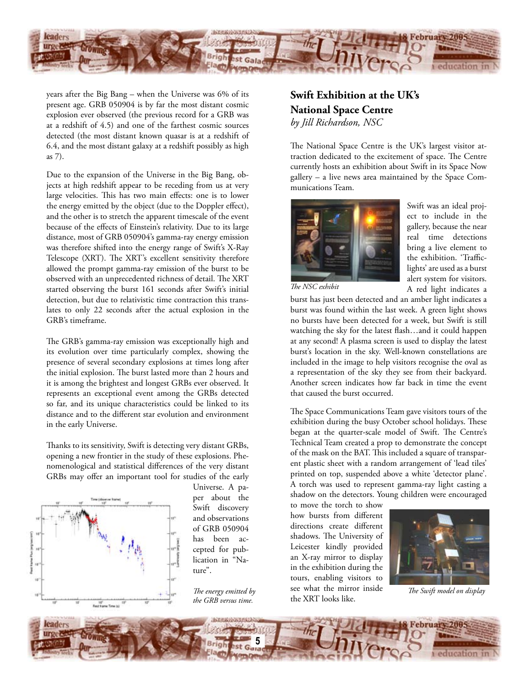

years after the Big Bang – when the Universe was 6% of its present age. GRB 050904 is by far the most distant cosmic explosion ever observed (the previous record for a GRB was at a redshift of 4.5) and one of the farthest cosmic sources detected (the most distant known quasar is at a redshift of 6.4, and the most distant galaxy at a redshift possibly as high as 7).

Due to the expansion of the Universe in the Big Bang, objects at high redshift appear to be receding from us at very large velocities. This has two main effects: one is to lower the energy emitted by the object (due to the Doppler effect), and the other is to stretch the apparent timescale of the event because of the effects of Einstein's relativity. Due to its large distance, most of GRB 050904's gamma-ray energy emission was therefore shifted into the energy range of Swift's X-Ray Telescope (XRT). The XRT's excellent sensitivity therefore allowed the prompt gamma-ray emission of the burst to be observed with an unprecedented richness of detail. The XRT started observing the burst 161 seconds after Swift's initial detection, but due to relativistic time contraction this translates to only 22 seconds after the actual explosion in the GRB's timeframe.

The GRB's gamma-ray emission was exceptionally high and its evolution over time particularly complex, showing the presence of several secondary explosions at times long after the initial explosion. The burst lasted more than 2 hours and it is among the brightest and longest GRBs ever observed. It represents an exceptional event among the GRBs detected so far, and its unique characteristics could be linked to its distance and to the different star evolution and environment in the early Universe.

Thanks to its sensitivity, Swift is detecting very distant GRBs, opening a new frontier in the study of these explosions. Phenomenological and statistical differences of the very distant GRBs may offer an important tool for studies of the early



Universe. A paper about the Swift discovery and observations of GRB 050904 has been accepted for publication in "Nature".

*The energy emitted by the GRB versus time.*

## **Swift Exhibition at the UK's National Space Centre** *by Jill Richardson, NSC*

The National Space Centre is the UK's largest visitor attraction dedicated to the excitement of space. The Centre currently hosts an exhibition about Swift in its Space Now gallery – a live news area maintained by the Space Communications Team.



Swift was an ideal project to include in the gallery, because the near real time detections bring a live element to the exhibition. 'Trafficlights' are used as a burst alert system for visitors. A red light indicates a

*The NSC exhibit*

burst has just been detected and an amber light indicates a burst was found within the last week. A green light shows no bursts have been detected for a week, but Swift is still watching the sky for the latest flash…and it could happen at any second! A plasma screen is used to display the latest burst's location in the sky. Well-known constellations are included in the image to help visitors recognise the oval as a representation of the sky they see from their backyard. Another screen indicates how far back in time the event that caused the burst occurred.

The Space Communications Team gave visitors tours of the exhibition during the busy October school holidays. These began at the quarter-scale model of Swift. The Centre's Technical Team created a prop to demonstrate the concept of the mask on the BAT. This included a square of transparent plastic sheet with a random arrangement of 'lead tiles' printed on top, suspended above a white 'detector plane'. A torch was used to represent gamma-ray light casting a shadow on the detectors. Young children were encouraged

to move the torch to show how bursts from different directions create different shadows. The University of Leicester kindly provided an X-ray mirror to display in the exhibition during the tours, enabling visitors to see what the mirror inside the XRT looks like.



*The Swift model on display*